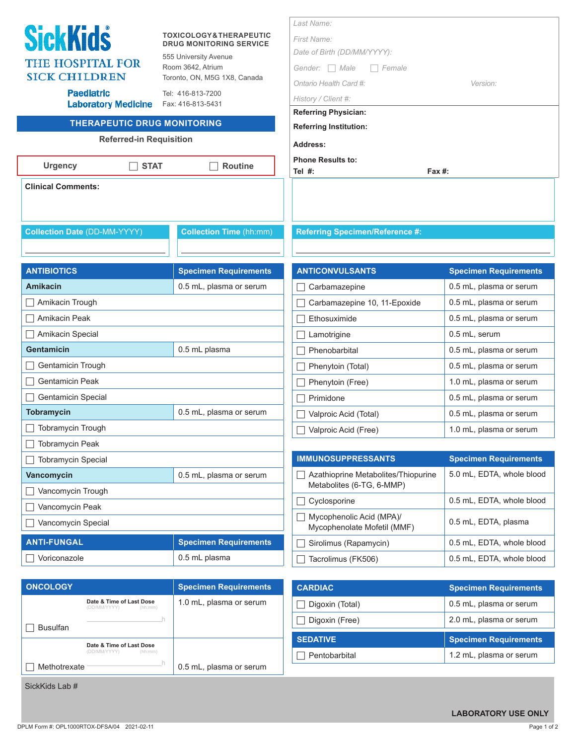|                                                                      |                                                                     | Last Name:                                      |                                                         |
|----------------------------------------------------------------------|---------------------------------------------------------------------|-------------------------------------------------|---------------------------------------------------------|
| <b>SickKids</b>                                                      | <b>TOXICOLOGY&amp;THERAPEUTIC</b><br><b>DRUG MONITORING SERVICE</b> | <b>First Name:</b>                              |                                                         |
| <b>THE HOSPITAL FOR</b>                                              | 555 University Avenue                                               | Date of Birth (DD/MM/YYYY):                     |                                                         |
| <b>SICK CHILDREN</b>                                                 | Room 3642, Atrium<br>Toronto, ON, M5G 1X8, Canada                   | Gender: $\Box$ Male<br>Female                   |                                                         |
| <b>Paediatric</b>                                                    | Tel: 416-813-7200                                                   | Ontario Health Card #:                          | Version:                                                |
| <b>Laboratory Medicine</b>                                           | Fax: 416-813-5431                                                   | History / Client #:                             |                                                         |
|                                                                      |                                                                     | <b>Referring Physician:</b>                     |                                                         |
| <b>THERAPEUTIC DRUG MONITORING</b><br><b>Referred-in Requisition</b> |                                                                     | <b>Referring Institution:</b>                   |                                                         |
|                                                                      |                                                                     | Address:                                        |                                                         |
| <b>Urgency</b><br><b>STAT</b>                                        | <b>Routine</b>                                                      | <b>Phone Results to:</b><br>Tel $#$ :<br>Fax #: |                                                         |
| <b>Clinical Comments:</b>                                            |                                                                     |                                                 |                                                         |
|                                                                      |                                                                     |                                                 |                                                         |
|                                                                      |                                                                     |                                                 |                                                         |
| <b>Collection Date (DD-MM-YYYY)</b>                                  | <b>Collection Time (hh:mm)</b>                                      | <b>Referring Specimen/Reference #:</b>          |                                                         |
|                                                                      |                                                                     |                                                 |                                                         |
| <b>ANTIBIOTICS</b>                                                   |                                                                     | <b>ANTICONVULSANTS</b>                          |                                                         |
| <b>Amikacin</b>                                                      | <b>Specimen Requirements</b><br>0.5 mL, plasma or serum             | Carbamazepine                                   | <b>Specimen Requirements</b><br>0.5 mL, plasma or serum |
| $\Box$ Amikacin Trough                                               |                                                                     | Carbamazepine 10, 11-Epoxide                    | 0.5 mL, plasma or serum                                 |
|                                                                      |                                                                     | Ethosuximide                                    | 0.5 mL, plasma or serum                                 |
| Amikacin Peak<br>Amikacin Special                                    |                                                                     |                                                 | 0.5 mL, serum                                           |
| <b>Gentamicin</b>                                                    | 0.5 mL plasma                                                       | Lamotrigine<br>Phenobarbital                    | 0.5 mL, plasma or serum                                 |
|                                                                      |                                                                     |                                                 |                                                         |
| Gentamicin Trough                                                    |                                                                     | Phenytoin (Total)                               | 0.5 mL, plasma or serum                                 |
| <b>Gentamicin Peak</b>                                               |                                                                     | Phenytoin (Free)                                | 1.0 mL, plasma or serum                                 |
| <b>Gentamicin Special</b><br><b>Tobramycin</b>                       | 0.5 mL, plasma or serum                                             | Primidone                                       | 0.5 mL, plasma or serum                                 |
| Tobramycin Trough                                                    |                                                                     | Valproic Acid (Total)                           | 0.5 mL, plasma or serum                                 |
|                                                                      |                                                                     | Valproic Acid (Free)                            | 1.0 mL, plasma or serum                                 |
| <b>Tobramycin Peak</b><br><b>Tobramycin Special</b>                  |                                                                     | <b>IMMUNOSUPPRESSANTS</b>                       | <b>Specimen Requirements</b>                            |
| Vancomycin                                                           | 0.5 mL, plasma or serum                                             | Azathioprine Metabolites/Thiopurine             | 5.0 mL, EDTA, whole blood                               |
|                                                                      |                                                                     | Metabolites (6-TG, 6-MMP)                       |                                                         |
| Vancomycin Trough                                                    |                                                                     | Cyclosporine                                    | 0.5 mL, EDTA, whole blood                               |
| Vancomycin Peak                                                      |                                                                     | Mycophenolic Acid (MPA)/                        | 0.5 mL, EDTA, plasma                                    |
| Vancomycin Special                                                   |                                                                     | Mycophenolate Mofetil (MMF)                     |                                                         |
| <b>ANTI-FUNGAL</b>                                                   | <b>Specimen Requirements</b>                                        | Sirolimus (Rapamycin)                           | 0.5 mL, EDTA, whole blood                               |
| Voriconazole                                                         | 0.5 mL plasma                                                       | Tacrolimus (FK506)                              | 0.5 mL, EDTA, whole blood                               |
| <b>ONCOLOGY</b>                                                      |                                                                     |                                                 |                                                         |
| Date & Time of Last Dose                                             | <b>Specimen Requirements</b>                                        | <b>CARDIAC</b>                                  | <b>Specimen Requirements</b>                            |
| (DD/MM/YYYY)<br>(hh:mm)                                              | 1.0 mL, plasma or serum                                             | Digoxin (Total)                                 | 0.5 mL, plasma or serum                                 |
|                                                                      | J٦                                                                  | Digoxin (Free)                                  | 2.0 mL, plasma or serum                                 |

| $\Box$ Busulfan |                                          |         |  |
|-----------------|------------------------------------------|---------|--|
|                 | Date & Time of Last Dose<br>(DD/MM/YYYY) | (hh:mm) |  |

<u>have a strong with the strong strong</u>

 $\Box$  Methotrexate  $\Box$  0.5 mL, plasma or serum

SickKids Lab #

| <b>Collection Date (DD-MM-YYYY)</b> | <b>Collection Time (hh:mm)</b> |
|-------------------------------------|--------------------------------|
|                                     |                                |
| <b>ANTIBIOTICS</b>                  | <b>Specimen Requirements</b>   |
| <b>Amikacin</b>                     | 0.5 mL, plasma or serum        |
| Amikacin Trough                     |                                |
| Amikacin Peak                       |                                |
| Amikacin Special                    |                                |
| Gentamicin                          | 0.5 mL plasma                  |
| Gentamicin Trough                   |                                |
| <b>Gentamicin Peak</b>              |                                |
| <b>Gentamicin Special</b>           |                                |
| <b>Tobramycin</b>                   | 0.5 mL, plasma or serum        |
| Tobramycin Trough                   |                                |
| <b>Tobramycin Peak</b>              |                                |
| <b>Tobramycin Special</b>           |                                |
| Vancomycin                          | 0.5 mL, plasma or serum        |
| $\Box$ Vancomvoin Trough            |                                |

 **LABORATORY USE ONLY**

**SEDATIVE SEDATIVE Specimen Requirements** Pentobarbital 1.2 mL, plasma or serum